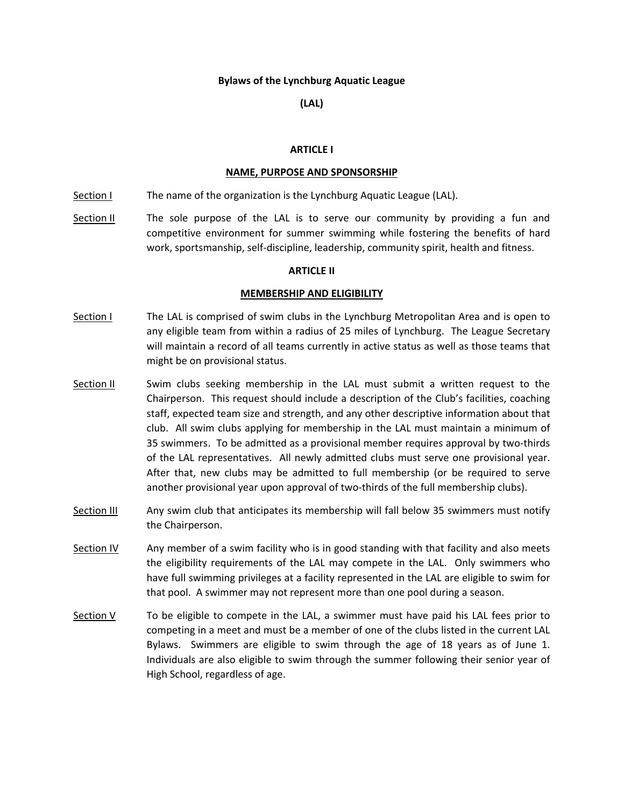### **Bylaws of the Lynchburg Aquatic League**

## **(LAL)**

### **ARTICLE I**

#### **NAME, PURPOSE AND SPONSORSHIP**

- Section I The name of the organization is the Lynchburg Aquatic League (LAL).
- Section II The sole purpose of the LAL is to serve our community by providing a fun and competitive environment for summer swimming while fostering the benefits of hard work, sportsmanship, self‐discipline, leadership, community spirit, health and fitness.

### **ARTICLE II**

#### **MEMBERSHIP AND ELIGIBILITY**

- Section I The LAL is comprised of swim clubs in the Lynchburg Metropolitan Area and is open to any eligible team from within a radius of 25 miles of Lynchburg. The League Secretary will maintain a record of all teams currently in active status as well as those teams that might be on provisional status.
- Section II Swim clubs seeking membership in the LAL must submit a written request to the Chairperson. This request should include a description of the Club's facilities, coaching staff, expected team size and strength, and any other descriptive information about that club. All swim clubs applying for membership in the LAL must maintain a minimum of 35 swimmers. To be admitted as a provisional member requires approval by two‐thirds of the LAL representatives. All newly admitted clubs must serve one provisional year. After that, new clubs may be admitted to full membership (or be required to serve another provisional year upon approval of two-thirds of the full membership clubs).
- Section III Any swim club that anticipates its membership will fall below 35 swimmers must notify the Chairperson.
- Section IV Any member of a swim facility who is in good standing with that facility and also meets the eligibility requirements of the LAL may compete in the LAL. Only swimmers who have full swimming privileges at a facility represented in the LAL are eligible to swim for that pool. A swimmer may not represent more than one pool during a season.
- Section  $V$  To be eligible to compete in the LAL, a swimmer must have paid his LAL fees prior to competing in a meet and must be a member of one of the clubs listed in the current LAL Bylaws. Swimmers are eligible to swim through the age of 18 years as of June 1. Individuals are also eligible to swim through the summer following their senior year of High School, regardless of age.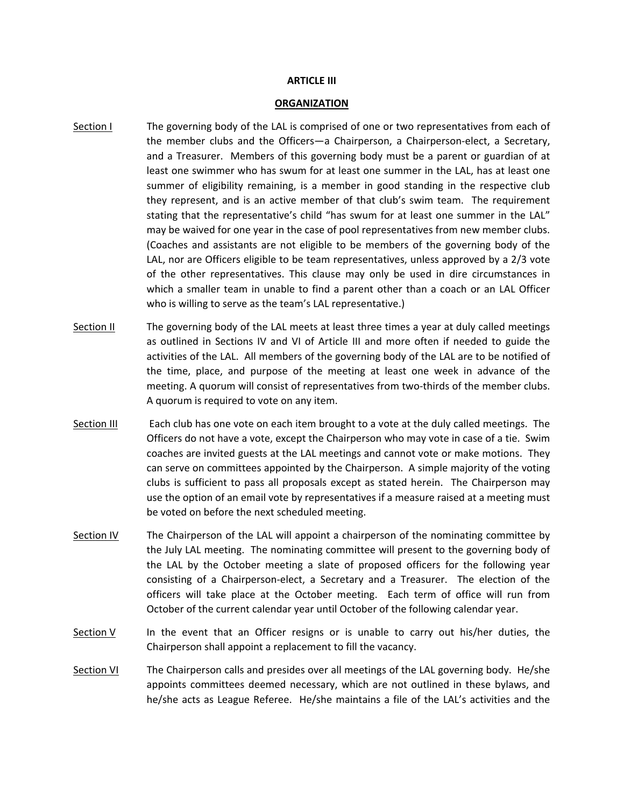### **ARTICLE III**

#### **ORGANIZATION**

- Section I The governing body of the LAL is comprised of one or two representatives from each of the member clubs and the Officers—a Chairperson, a Chairperson-elect, a Secretary, and a Treasurer. Members of this governing body must be a parent or guardian of at least one swimmer who has swum for at least one summer in the LAL, has at least one summer of eligibility remaining, is a member in good standing in the respective club they represent, and is an active member of that club's swim team. The requirement stating that the representative's child "has swum for at least one summer in the LAL" may be waived for one year in the case of pool representatives from new member clubs. (Coaches and assistants are not eligible to be members of the governing body of the LAL, nor are Officers eligible to be team representatives, unless approved by a 2/3 vote of the other representatives. This clause may only be used in dire circumstances in which a smaller team in unable to find a parent other than a coach or an LAL Officer who is willing to serve as the team's LAL representative.)
- Section II The governing body of the LAL meets at least three times a year at duly called meetings as outlined in Sections IV and VI of Article III and more often if needed to guide the activities of the LAL. All members of the governing body of the LAL are to be notified of the time, place, and purpose of the meeting at least one week in advance of the meeting. A quorum will consist of representatives from two-thirds of the member clubs. A quorum is required to vote on any item.
- Section III Each club has one vote on each item brought to a vote at the duly called meetings. The Officers do not have a vote, except the Chairperson who may vote in case of a tie. Swim coaches are invited guests at the LAL meetings and cannot vote or make motions. They can serve on committees appointed by the Chairperson. A simple majority of the voting clubs is sufficient to pass all proposals except as stated herein. The Chairperson may use the option of an email vote by representatives if a measure raised at a meeting must be voted on before the next scheduled meeting.
- Section IV The Chairperson of the LAL will appoint a chairperson of the nominating committee by the July LAL meeting. The nominating committee will present to the governing body of the LAL by the October meeting a slate of proposed officers for the following year consisting of a Chairperson-elect, a Secretary and a Treasurer. The election of the officers will take place at the October meeting. Each term of office will run from October of the current calendar year until October of the following calendar year.
- Section V In the event that an Officer resigns or is unable to carry out his/her duties, the Chairperson shall appoint a replacement to fill the vacancy.
- Section VI The Chairperson calls and presides over all meetings of the LAL governing body. He/she appoints committees deemed necessary, which are not outlined in these bylaws, and he/she acts as League Referee. He/she maintains a file of the LAL's activities and the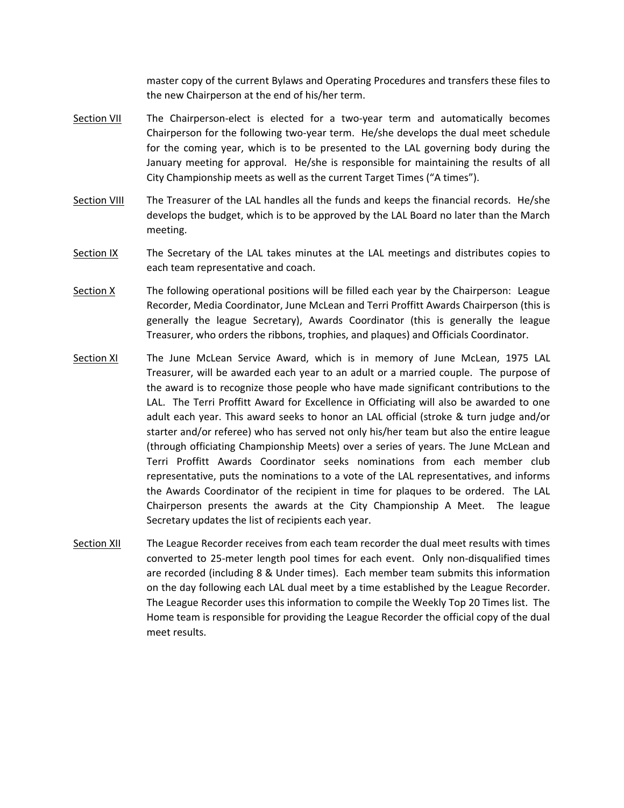master copy of the current Bylaws and Operating Procedures and transfers these files to the new Chairperson at the end of his/her term.

- Section VII The Chairperson-elect is elected for a two-year term and automatically becomes Chairperson for the following two-year term. He/she develops the dual meet schedule for the coming year, which is to be presented to the LAL governing body during the January meeting for approval. He/she is responsible for maintaining the results of all City Championship meets as well as the current Target Times ("A times").
- Section VIII The Treasurer of the LAL handles all the funds and keeps the financial records. He/she develops the budget, which is to be approved by the LAL Board no later than the March meeting.
- Section IX The Secretary of the LAL takes minutes at the LAL meetings and distributes copies to each team representative and coach.
- Section X The following operational positions will be filled each year by the Chairperson: League Recorder, Media Coordinator, June McLean and Terri Proffitt Awards Chairperson (this is generally the league Secretary), Awards Coordinator (this is generally the league Treasurer, who orders the ribbons, trophies, and plaques) and Officials Coordinator.
- Section XI The June McLean Service Award, which is in memory of June McLean, 1975 LAL Treasurer, will be awarded each year to an adult or a married couple. The purpose of the award is to recognize those people who have made significant contributions to the LAL. The Terri Proffitt Award for Excellence in Officiating will also be awarded to one adult each year. This award seeks to honor an LAL official (stroke & turn judge and/or starter and/or referee) who has served not only his/her team but also the entire league (through officiating Championship Meets) over a series of years. The June McLean and Terri Proffitt Awards Coordinator seeks nominations from each member club representative, puts the nominations to a vote of the LAL representatives, and informs the Awards Coordinator of the recipient in time for plaques to be ordered. The LAL Chairperson presents the awards at the City Championship A Meet. The league Secretary updates the list of recipients each year.
- Section XII The League Recorder receives from each team recorder the dual meet results with times converted to 25-meter length pool times for each event. Only non-disqualified times are recorded (including 8 & Under times). Each member team submits this information on the day following each LAL dual meet by a time established by the League Recorder. The League Recorder uses this information to compile the Weekly Top 20 Times list. The Home team is responsible for providing the League Recorder the official copy of the dual meet results.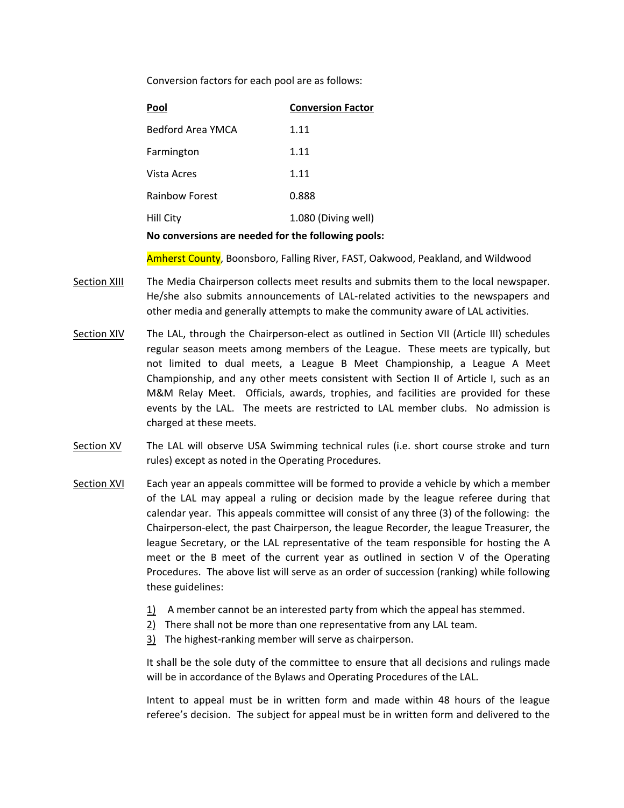Conversion factors for each pool are as follows:

| Pool                                               | <b>Conversion Factor</b> |
|----------------------------------------------------|--------------------------|
| Bedford Area YMCA                                  | 1.11                     |
| Farmington                                         | 1.11                     |
| Vista Acres                                        | 1.11                     |
| <b>Rainbow Forest</b>                              | 0.888                    |
| <b>Hill City</b>                                   | 1.080 (Diving well)      |
| No conversions are needed for the following pools: |                          |

Amherst County, Boonsboro, Falling River, FAST, Oakwood, Peakland, and Wildwood

- Section XIII The Media Chairperson collects meet results and submits them to the local newspaper. He/she also submits announcements of LAL-related activities to the newspapers and other media and generally attempts to make the community aware of LAL activities.
- Section XIV The LAL, through the Chairperson-elect as outlined in Section VII (Article III) schedules regular season meets among members of the League. These meets are typically, but not limited to dual meets, a League B Meet Championship, a League A Meet Championship, and any other meets consistent with Section II of Article I, such as an M&M Relay Meet. Officials, awards, trophies, and facilities are provided for these events by the LAL. The meets are restricted to LAL member clubs. No admission is charged at these meets.
- Section XV The LAL will observe USA Swimming technical rules (i.e. short course stroke and turn rules) except as noted in the Operating Procedures.
- Section XVI Each year an appeals committee will be formed to provide a vehicle by which a member of the LAL may appeal a ruling or decision made by the league referee during that calendar year. This appeals committee will consist of any three (3) of the following: the Chairperson‐elect, the past Chairperson, the league Recorder, the league Treasurer, the league Secretary, or the LAL representative of the team responsible for hosting the A meet or the B meet of the current year as outlined in section V of the Operating Procedures. The above list will serve as an order of succession (ranking) while following these guidelines:
	- $1)$  A member cannot be an interested party from which the appeal has stemmed.
	- 2) There shall not be more than one representative from any LAL team.
	- 3) The highest-ranking member will serve as chairperson.

It shall be the sole duty of the committee to ensure that all decisions and rulings made will be in accordance of the Bylaws and Operating Procedures of the LAL.

Intent to appeal must be in written form and made within 48 hours of the league referee's decision. The subject for appeal must be in written form and delivered to the